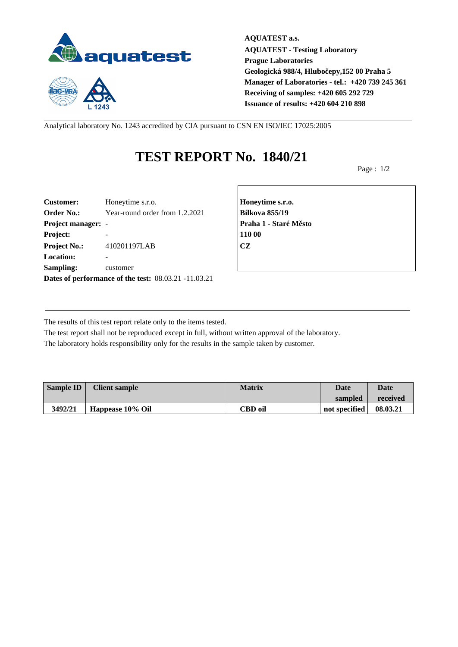

 $1243$ 

**AQUATEST a.s. AQUATEST - Testing Laboratory Prague Laboratories Geologická 988/4, Hlubočepy,152 00 Praha 5 Manager of Laboratories - tel.: +420 739 245 361 Receiving of samples: +420 605 292 729 Issuance of results: +420 604 210 898**

Analytical laboratory No. 1243 accredited by CIA pursuant to CSN EN ISO/IEC 17025:2005

## **TEST REPORT No. 1840/21**

Page : 1/2

| <b>Customer:</b>          | Honeytime s.r.o.                                     | Honey         |
|---------------------------|------------------------------------------------------|---------------|
| <b>Order No.:</b>         | Year-round order from 1.2.2021                       | <b>Bílkov</b> |
| <b>Project manager: -</b> |                                                      | Praha         |
| Project:                  |                                                      | 110 00        |
| <b>Project No.:</b>       | 410201197LAB                                         | <b>CZ</b>     |
| <b>Location:</b>          |                                                      |               |
| Sampling:                 | customer                                             |               |
|                           | Dates of performance of the test: 08.03.21 -11.03.21 |               |

**Customer:** Honeytime s.r.o. **Honeytime s.r.o. Order No.:** Year-round order from 1.2.2021 **Bílkova 855/19 Project manager:** - **Praha 1 - Staré Město**

The results of this test report relate only to the items tested.

The test report shall not be reproduced except in full, without written approval of the laboratory. The laboratory holds responsibility only for the results in the sample taken by customer.

| <b>Sample ID</b> | <b>Client sample</b> | <b>Matrix</b>  | Date          | <b>Date</b> |
|------------------|----------------------|----------------|---------------|-------------|
|                  |                      |                | sampled       | received    |
| 3492/21          | Happease 10% Oil     | <b>CBD</b> oil | not specified | 08.03.21    |